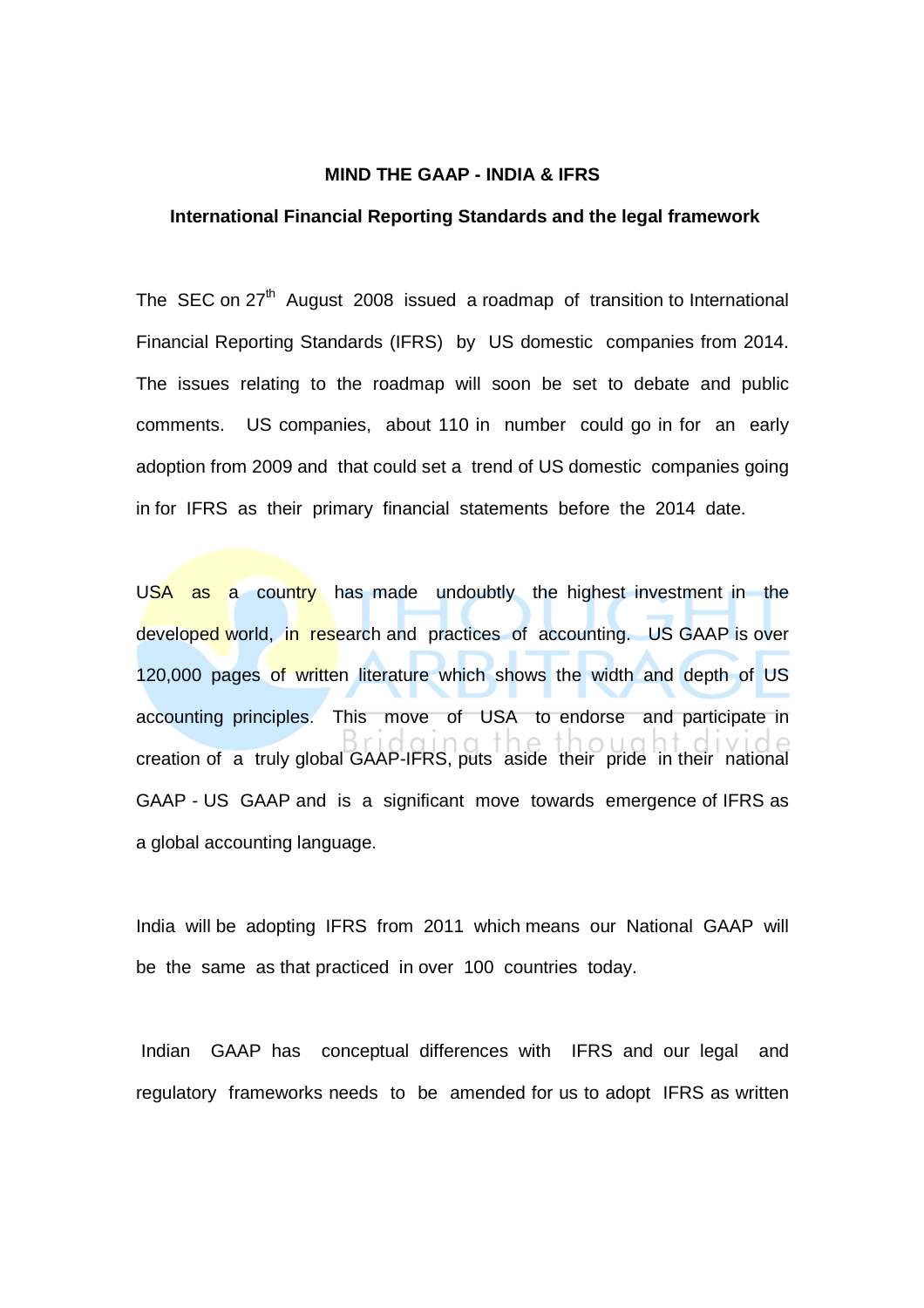#### **MIND THE GAAP - INDIA & IFRS**

## **International Financial Reporting Standards and the legal framework**

The SEC on  $27<sup>th</sup>$  August 2008 issued a roadmap of transition to International Financial Reporting Standards (IFRS) by US domestic companies from 2014. The issues relating to the roadmap will soon be set to debate and public comments. US companies, about 110 in number could go in for an early adoption from 2009 and that could set a trend of US domestic companies going in for IFRS as their primary financial statements before the 2014 date.

USA as a country has made undoubtly the highest investment in the developed world, in research and practices of accounting. US GAAP is over 120,000 pages of written literature which shows the width and depth of US accounting principles. This move of USA to endorse and participate in creation of a truly global GAAP-IFRS, puts aside their pride in their national GAAP - US GAAP and is a significant move towards emergence of IFRS as a global accounting language.

India will be adopting IFRS from 2011 which means our National GAAP will be the same as that practiced in over 100 countries today.

 Indian GAAP has conceptual differences with IFRS and our legal and regulatory frameworks needs to be amended for us to adopt IFRS as written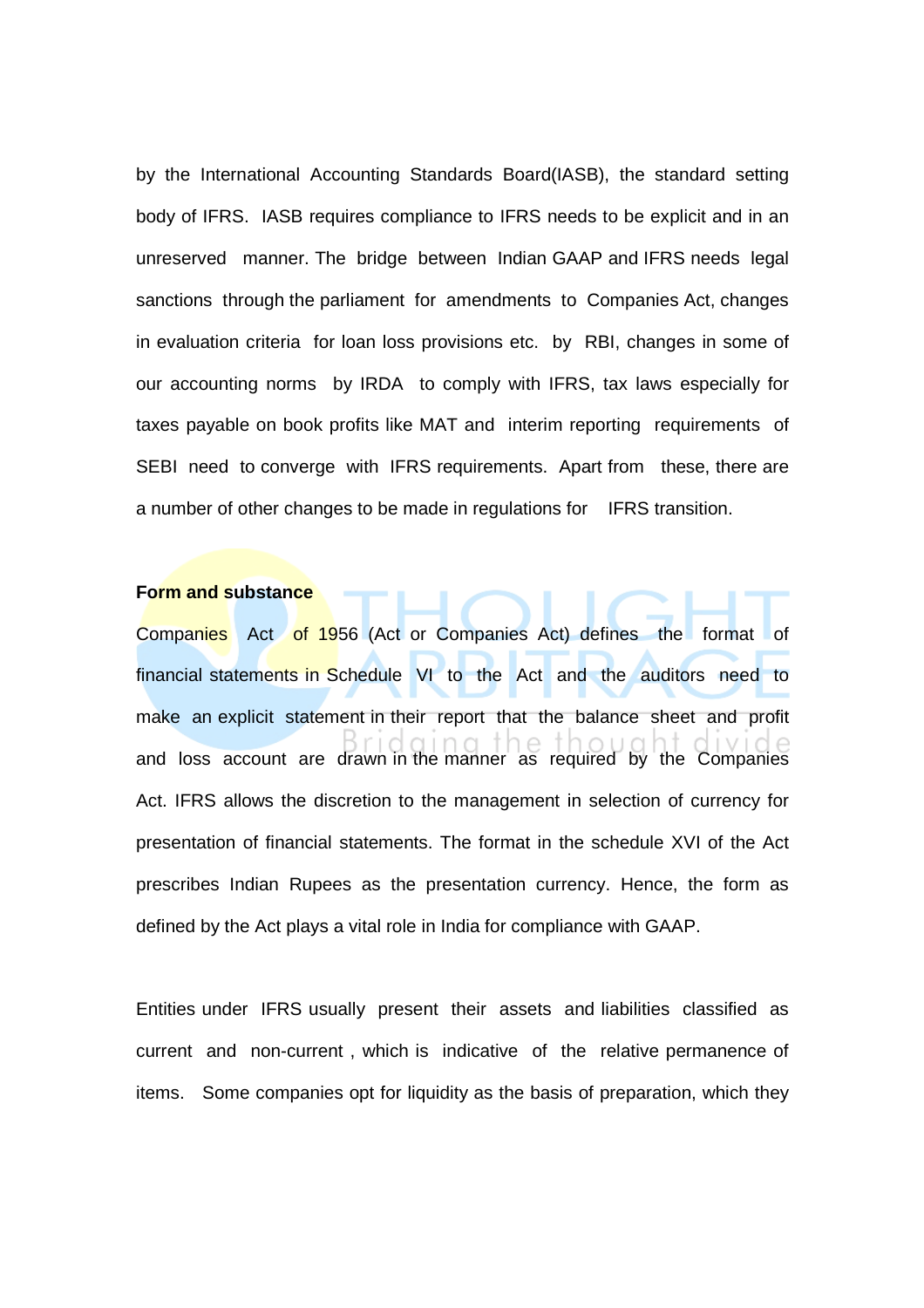by the International Accounting Standards Board(IASB), the standard setting body of IFRS. IASB requires compliance to IFRS needs to be explicit and in an unreserved manner. The bridge between Indian GAAP and IFRS needs legal sanctions through the parliament for amendments to Companies Act, changes in evaluation criteria for loan loss provisions etc. by RBI, changes in some of our accounting norms by IRDA to comply with IFRS, tax laws especially for taxes payable on book profits like MAT and interim reporting requirements of SEBI need to converge with IFRS requirements. Apart from these, there are a number of other changes to be made in regulations for IFRS transition.

#### **Form and substance**

Companies Act of 1956 (Act or Companies Act) defines the format of financial statements in Schedule VI to the Act and the auditors need to make an explicit statement in their report that the balance sheet and profit and loss account are drawn in the manner as required by the Companies Act. IFRS allows the discretion to the management in selection of currency for presentation of financial statements. The format in the schedule XVI of the Act prescribes Indian Rupees as the presentation currency. Hence, the form as defined by the Act plays a vital role in India for compliance with GAAP.

Entities under IFRS usually present their assets and liabilities classified as current and non-current , which is indicative of the relative permanence of items. Some companies opt for liquidity as the basis of preparation, which they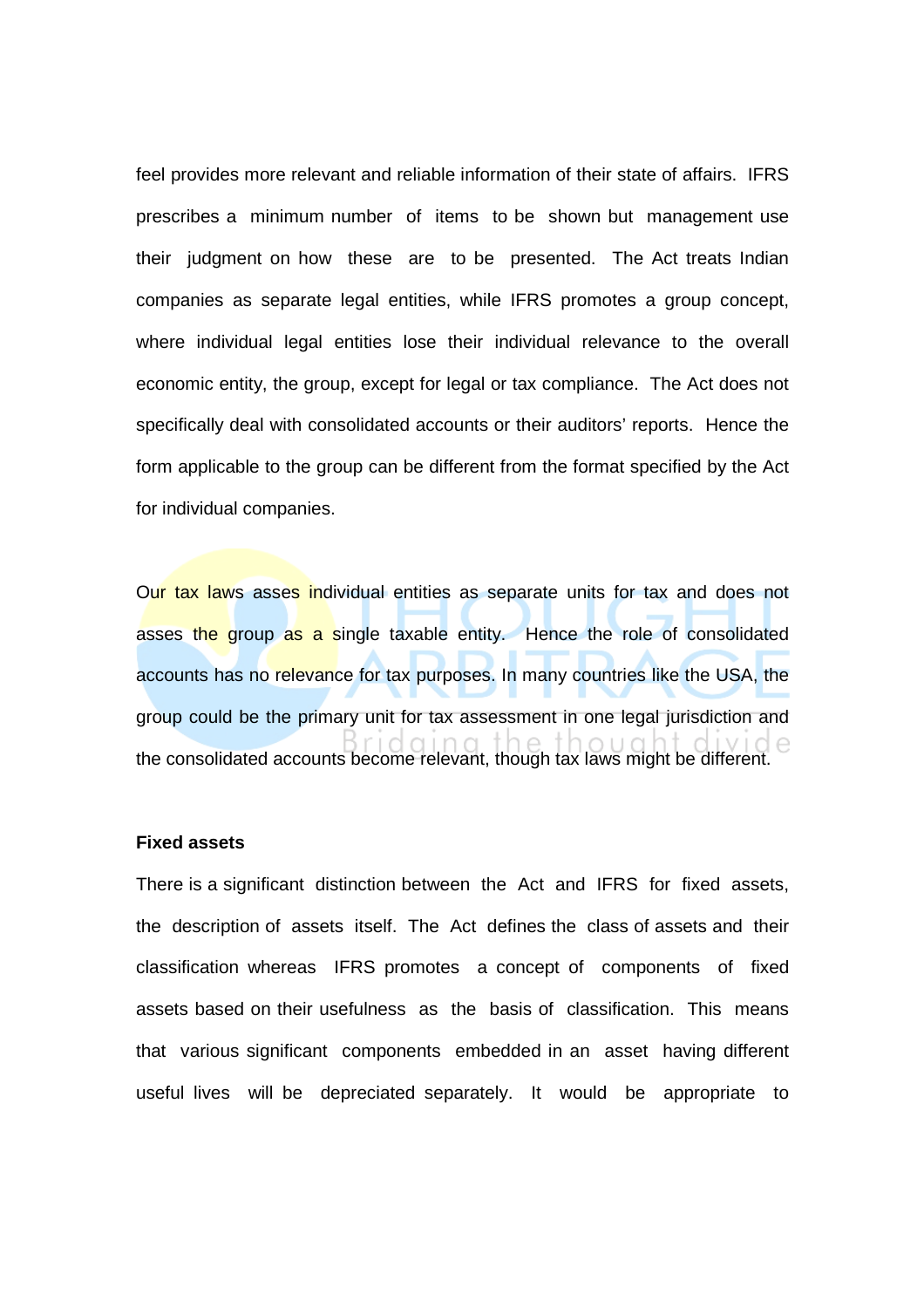feel provides more relevant and reliable information of their state of affairs. IFRS prescribes a minimum number of items to be shown but management use their judgment on how these are to be presented. The Act treats Indian companies as separate legal entities, while IFRS promotes a group concept, where individual legal entities lose their individual relevance to the overall economic entity, the group, except for legal or tax compliance. The Act does not specifically deal with consolidated accounts or their auditors' reports. Hence the form applicable to the group can be different from the format specified by the Act for individual companies.

Our tax laws asses individual entities as separate units for tax and does not asses the group as a single taxable entity. Hence the role of consolidated accounts has no relevance for tax purposes. In many countries like the USA, the group could be the primary unit for tax assessment in one legal jurisdiction and the consolidated accounts become relevant, though tax laws might be different.

## **Fixed assets**

There is a significant distinction between the Act and IFRS for fixed assets, the description of assets itself. The Act defines the class of assets and their classification whereas IFRS promotes a concept of components of fixed assets based on their usefulness as the basis of classification. This means that various significant components embedded in an asset having different useful lives will be depreciated separately. It would be appropriate to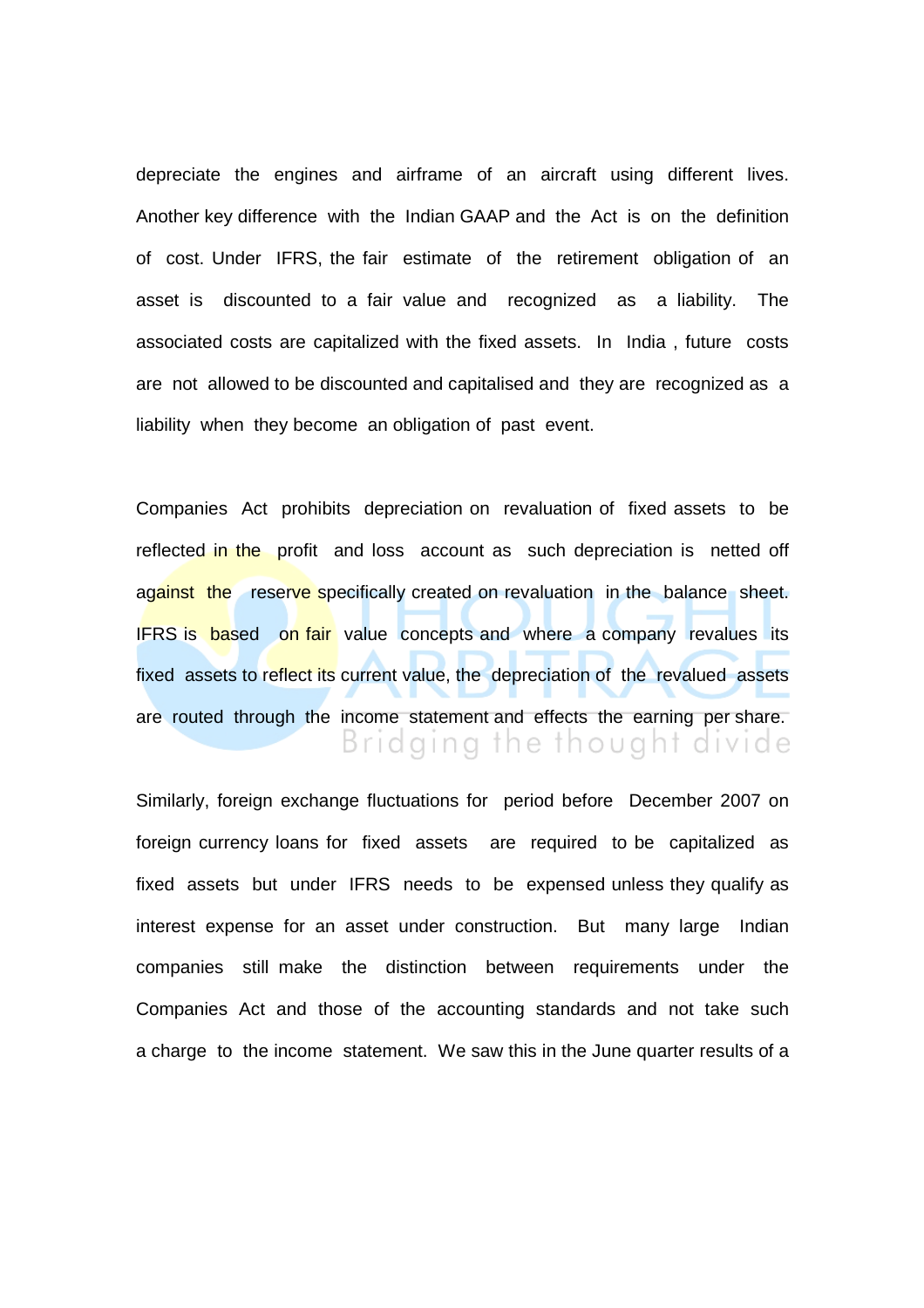depreciate the engines and airframe of an aircraft using different lives. Another key difference with the Indian GAAP and the Act is on the definition of cost. Under IFRS, the fair estimate of the retirement obligation of an asset is discounted to a fair value and recognized as a liability. The associated costs are capitalized with the fixed assets. In India , future costs are not allowed to be discounted and capitalised and they are recognized as a liability when they become an obligation of past event.

Companies Act prohibits depreciation on revaluation of fixed assets to be reflected in the profit and loss account as such depreciation is netted off against the reserve specifically created on revaluation in the balance sheet. IFRS is based on fair value concepts and where a company revalues its fixed assets to reflect its current value, the depreciation of the revalued assets are routed through the income statement and effects the earning per share. Bridging the thought divide

Similarly, foreign exchange fluctuations for period before December 2007 on foreign currency loans for fixed assets are required to be capitalized as fixed assets but under IFRS needs to be expensed unless they qualify as interest expense for an asset under construction. But many large Indian companies still make the distinction between requirements under the Companies Act and those of the accounting standards and not take such a charge to the income statement. We saw this in the June quarter results of a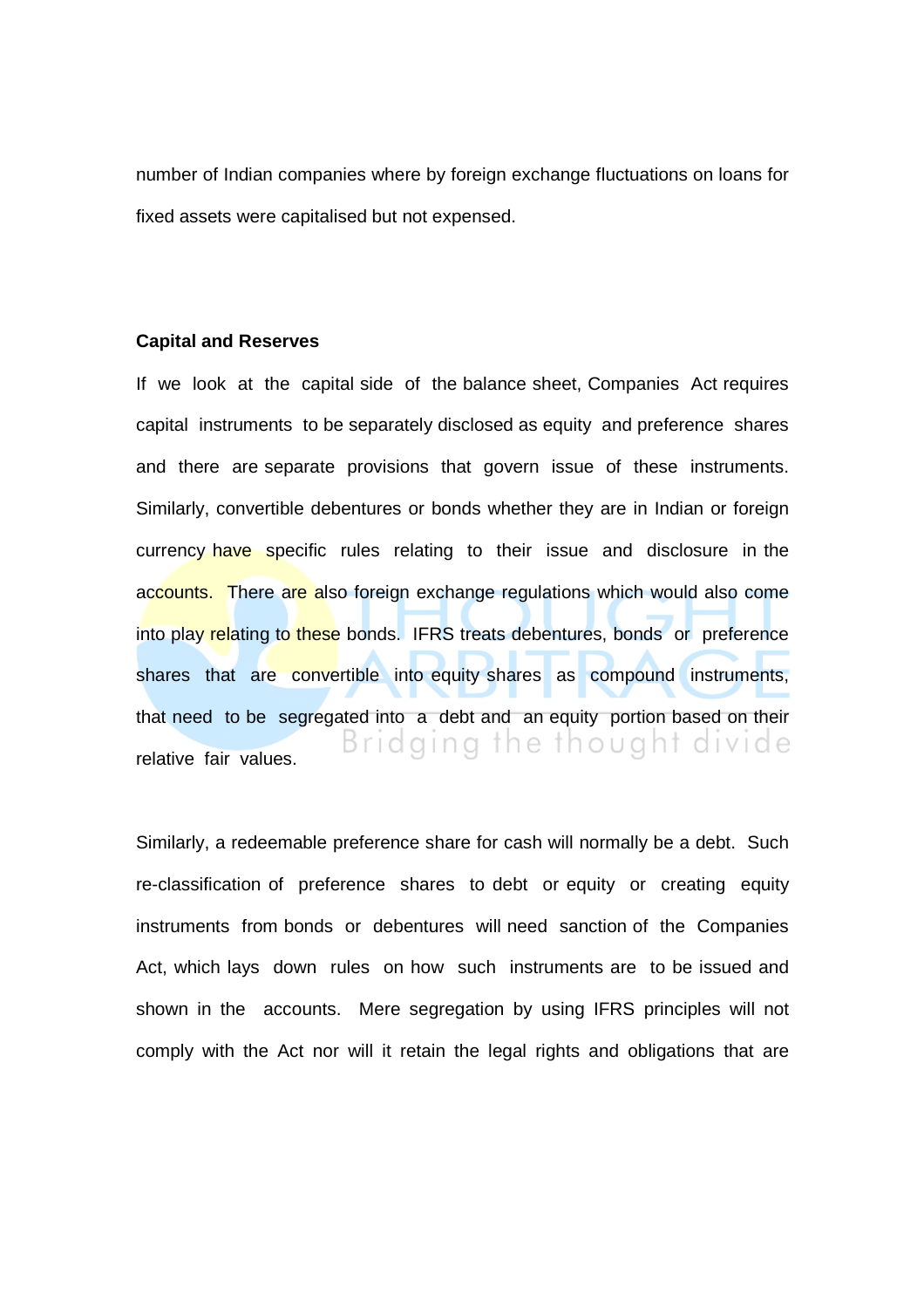number of Indian companies where by foreign exchange fluctuations on loans for fixed assets were capitalised but not expensed.

## **Capital and Reserves**

If we look at the capital side of the balance sheet, Companies Act requires capital instruments to be separately disclosed as equity and preference shares and there are separate provisions that govern issue of these instruments. Similarly, convertible debentures or bonds whether they are in Indian or foreign currency have specific rules relating to their issue and disclosure in the accounts. There are also foreign exchange regulations which would also come into play relating to these bonds. IFRS treats debentures, bonds or preference shares that are convertible into equity shares as compound instruments, that need to be segregated into a debt and an equity portion based on their Bridging the thought divide relative fair values.

Similarly, a redeemable preference share for cash will normally be a debt. Such re-classification of preference shares to debt or equity or creating equity instruments from bonds or debentures will need sanction of the Companies Act, which lays down rules on how such instruments are to be issued and shown in the accounts. Mere segregation by using IFRS principles will not comply with the Act nor will it retain the legal rights and obligations that are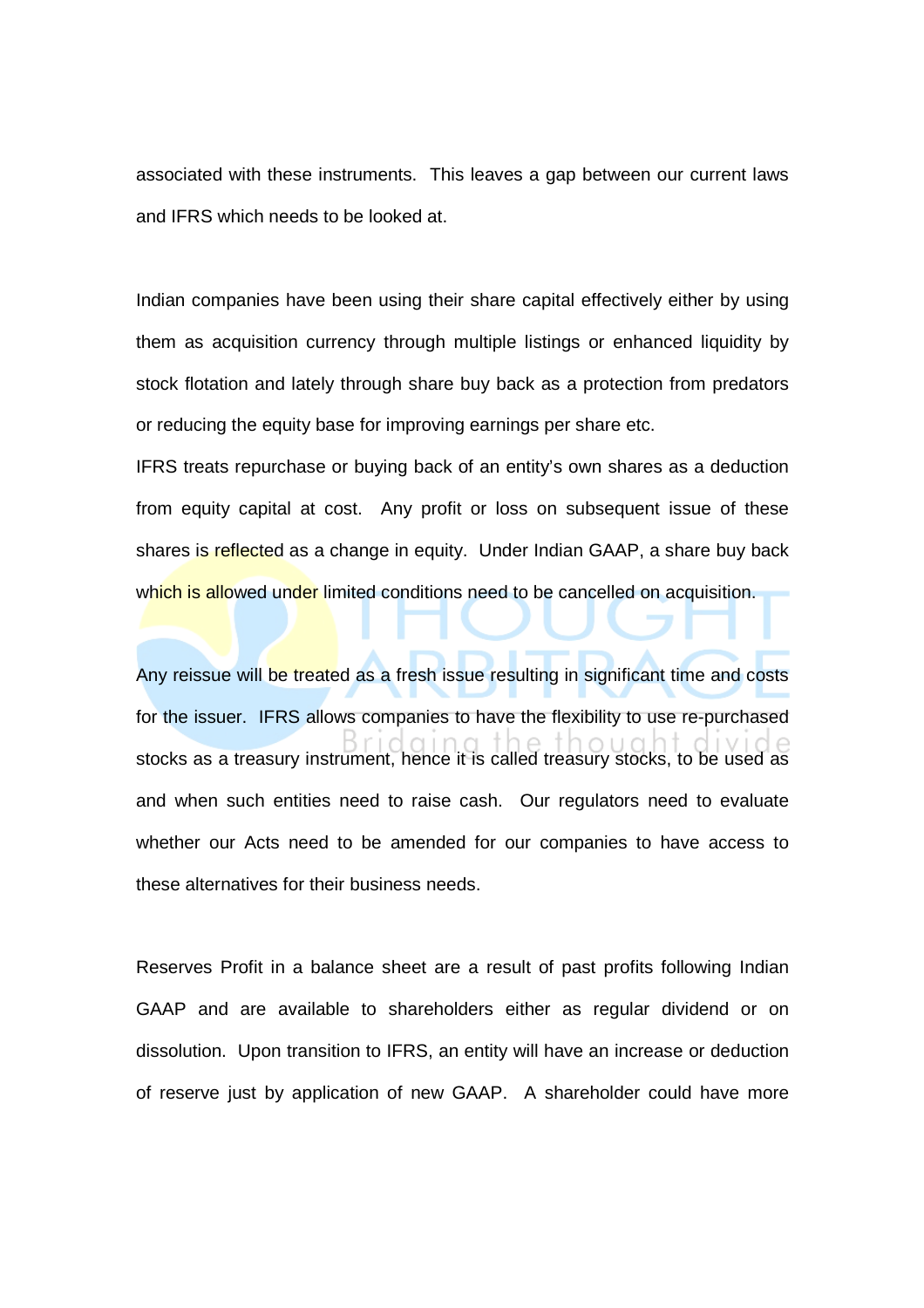associated with these instruments. This leaves a gap between our current laws and IFRS which needs to be looked at.

Indian companies have been using their share capital effectively either by using them as acquisition currency through multiple listings or enhanced liquidity by stock flotation and lately through share buy back as a protection from predators or reducing the equity base for improving earnings per share etc.

IFRS treats repurchase or buying back of an entity's own shares as a deduction from equity capital at cost. Any profit or loss on subsequent issue of these shares is reflected as a change in equity. Under Indian GAAP, a share buy back which is allowed under limited conditions need to be cancelled on acquisition.

Any reissue will be treated as a fresh issue resulting in significant time and costs for the issuer. IFRS allows companies to have the flexibility to use re-purchased stocks as a treasury instrument, hence it is called treasury stocks, to be used as and when such entities need to raise cash. Our regulators need to evaluate whether our Acts need to be amended for our companies to have access to these alternatives for their business needs.

Reserves Profit in a balance sheet are a result of past profits following Indian GAAP and are available to shareholders either as regular dividend or on dissolution. Upon transition to IFRS, an entity will have an increase or deduction of reserve just by application of new GAAP. A shareholder could have more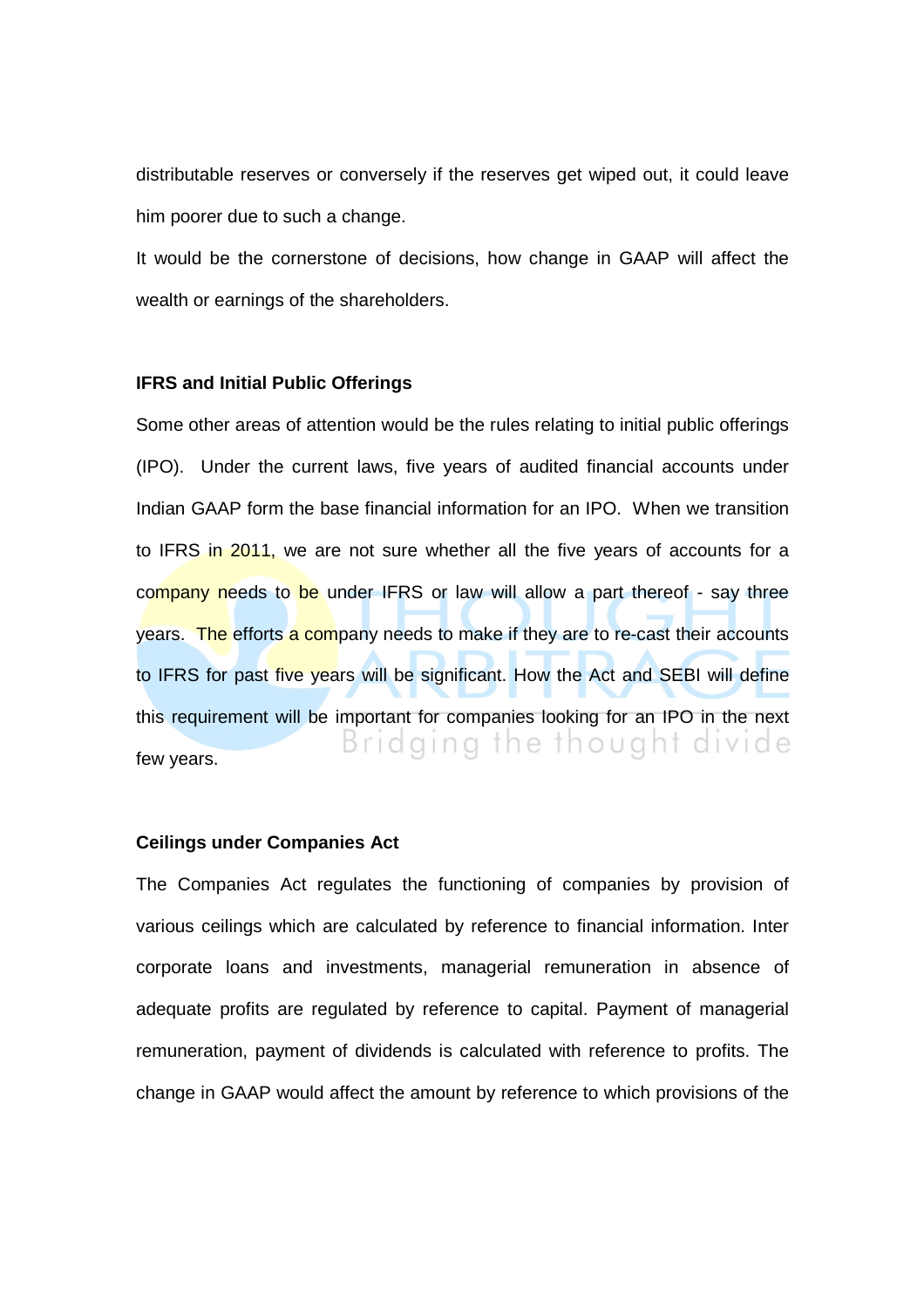distributable reserves or conversely if the reserves get wiped out, it could leave him poorer due to such a change.

It would be the cornerstone of decisions, how change in GAAP will affect the wealth or earnings of the shareholders.

## **IFRS and Initial Public Offerings**

Some other areas of attention would be the rules relating to initial public offerings (IPO). Under the current laws, five years of audited financial accounts under Indian GAAP form the base financial information for an IPO. When we transition to IFRS in 2011, we are not sure whether all the five years of accounts for a company needs to be under IFRS or law will allow a part thereof - say three years. The efforts a company needs to make if they are to re-cast their accounts to IFRS for past five years will be significant. How the Act and SEBI will define this requirement will be important for companies looking for an IPO in the next Bridging the thought divide few years.

# **Ceilings under Companies Act**

The Companies Act regulates the functioning of companies by provision of various ceilings which are calculated by reference to financial information. Inter corporate loans and investments, managerial remuneration in absence of adequate profits are regulated by reference to capital. Payment of managerial remuneration, payment of dividends is calculated with reference to profits. The change in GAAP would affect the amount by reference to which provisions of the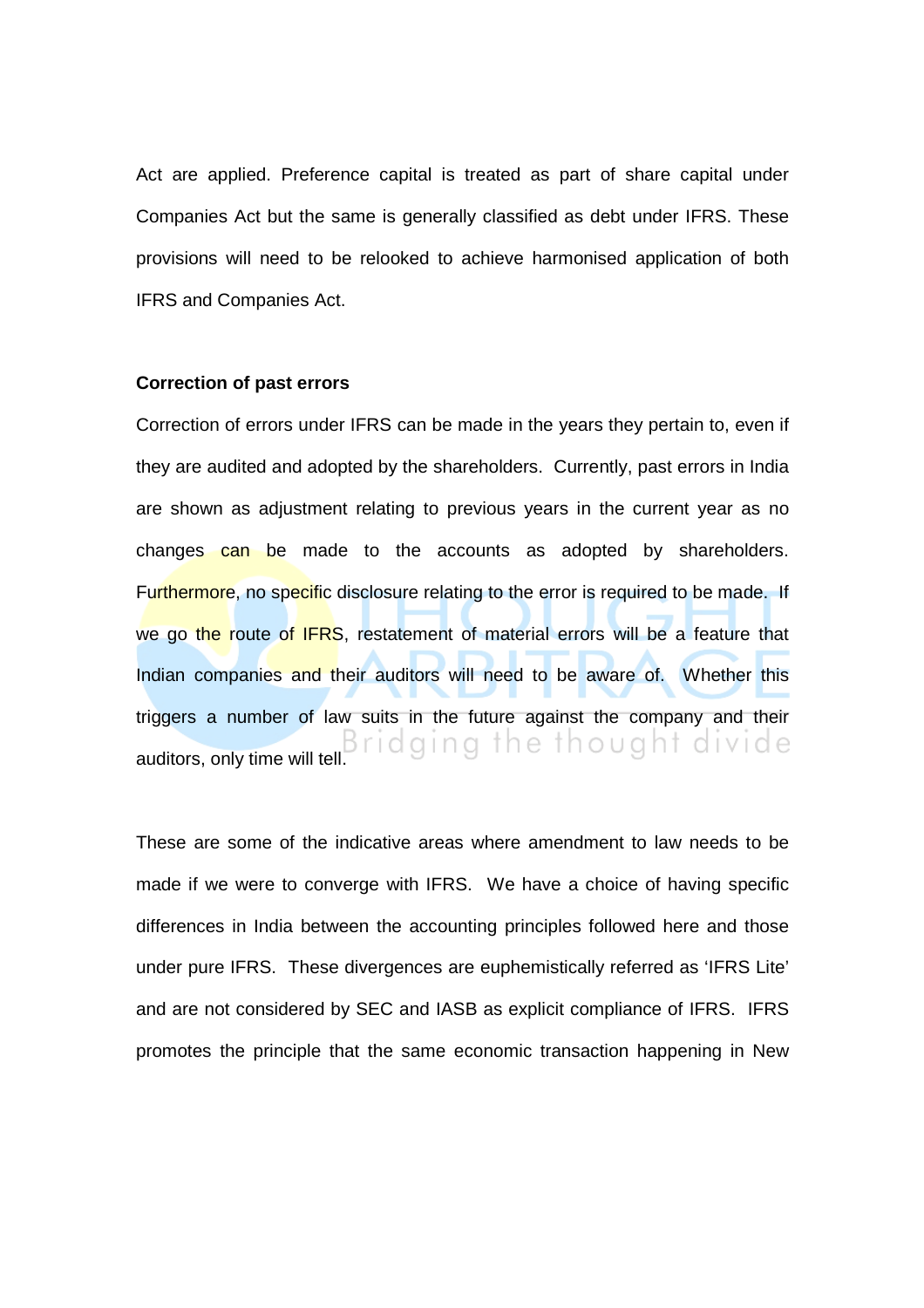Act are applied. Preference capital is treated as part of share capital under Companies Act but the same is generally classified as debt under IFRS. These provisions will need to be relooked to achieve harmonised application of both IFRS and Companies Act.

#### **Correction of past errors**

Correction of errors under IFRS can be made in the years they pertain to, even if they are audited and adopted by the shareholders. Currently, past errors in India are shown as adjustment relating to previous years in the current year as no changes can be made to the accounts as adopted by shareholders. Furthermore, no specific disclosure relating to the error is required to be made. If we go the route of IFRS, restatement of material errors will be a feature that Indian companies and their auditors will need to be aware of. Whether this triggers a number of law suits in the future against the company and their auditors, only time will tell. Bridging the thought divide

These are some of the indicative areas where amendment to law needs to be made if we were to converge with IFRS. We have a choice of having specific differences in India between the accounting principles followed here and those under pure IFRS. These divergences are euphemistically referred as 'IFRS Lite' and are not considered by SEC and IASB as explicit compliance of IFRS. IFRS promotes the principle that the same economic transaction happening in New